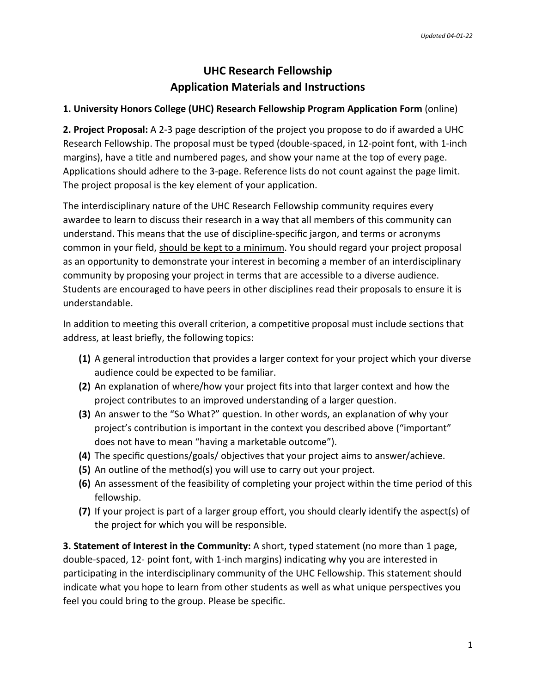## **UHC Research Fellowship Application Materials and Instructions**

## **1. University Honors College (UHC) Research Fellowship Program Application Form** (online)

**2. Project Proposal:** A 2-3 page description of the project you propose to do if awarded a UHC Research Fellowship. The proposal must be typed (double-spaced, in 12-point font, with 1-inch margins), have a title and numbered pages, and show your name at the top of every page. Applications should adhere to the 3-page. Reference lists do not count against the page limit. The project proposal is the key element of your application.

The interdisciplinary nature of the UHC Research Fellowship community requires every awardee to learn to discuss their research in a way that all members of this community can understand. This means that the use of discipline-specific jargon, and terms or acronyms common in your field, should be kept to a minimum. You should regard your project proposal as an opportunity to demonstrate your interest in becoming a member of an interdisciplinary community by proposing your project in terms that are accessible to a diverse audience. Students are encouraged to have peers in other disciplines read their proposals to ensure it is understandable.

In addition to meeting this overall criterion, a competitive proposal must include sections that address, at least briefly, the following topics:

- **(1)** A general introduction that provides a larger context for your project which your diverse audience could be expected to be familiar.
- **(2)** An explanation of where/how your project fits into that larger context and how the project contributes to an improved understanding of a larger question.
- **(3)** An answer to the "So What?" question. In other words, an explanation of why your project's contribution is important in the context you described above ("important" does not have to mean "having a marketable outcome").
- **(4)** The specific questions/goals/ objectives that your project aims to answer/achieve.
- **(5)** An outline of the method(s) you will use to carry out your project.
- **(6)** An assessment of the feasibility of completing your project within the time period of this fellowship.
- **(7)** If your project is part of a larger group effort, you should clearly identify the aspect(s) of the project for which you will be responsible.

**3. Statement of Interest in the Community:** A short, typed statement (no more than 1 page, double-spaced, 12- point font, with 1-inch margins) indicating why you are interested in participating in the interdisciplinary community of the UHC Fellowship. This statement should indicate what you hope to learn from other students as well as what unique perspectives you feel you could bring to the group. Please be specific.